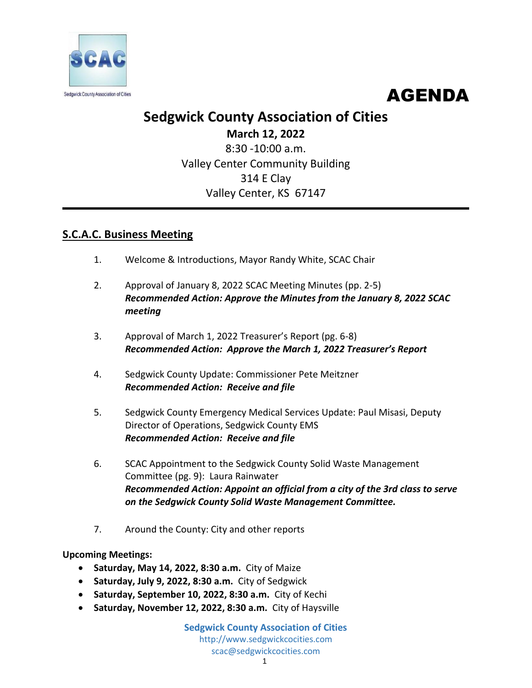



## **Sedgwick County Association of Cities**

**March 12, 2022** 8:30 -10:00 a.m. Valley Center Community Building 314 E Clay Valley Center, KS 67147

## **S.C.A.C. Business Meeting**

- 1. Welcome & Introductions, Mayor Randy White, SCAC Chair
- 2. Approval of January 8, 2022 SCAC Meeting Minutes (pp. 2-5) *Recommended Action: Approve the Minutes from the January 8, 2022 SCAC meeting*
- 3. Approval of March 1, 2022 Treasurer's Report (pg. 6-8) *Recommended Action: Approve the March 1, 2022 Treasurer's Report*
- 4. Sedgwick County Update: Commissioner Pete Meitzner *Recommended Action: Receive and file*
- 5. Sedgwick County Emergency Medical Services Update: Paul Misasi, Deputy Director of Operations, Sedgwick County EMS *Recommended Action: Receive and file*
- 6. SCAC Appointment to the Sedgwick County Solid Waste Management Committee (pg. 9): Laura Rainwater *Recommended Action: Appoint an official from a city of the 3rd class to serve on the Sedgwick County Solid Waste Management Committee.*
- 7. Around the County: City and other reports

### **Upcoming Meetings:**

- **Saturday, May 14, 2022, 8:30 a.m.** City of Maize
- **Saturday, July 9, 2022, 8:30 a.m.** City of Sedgwick
- **Saturday, September 10, 2022, 8:30 a.m.** City of Kechi
- **Saturday, November 12, 2022, 8:30 a.m.** City of Haysville

**Sedgwick County Association of Cities** http://www.sedgwickcocities.com scac@sedgwickcocities.com 1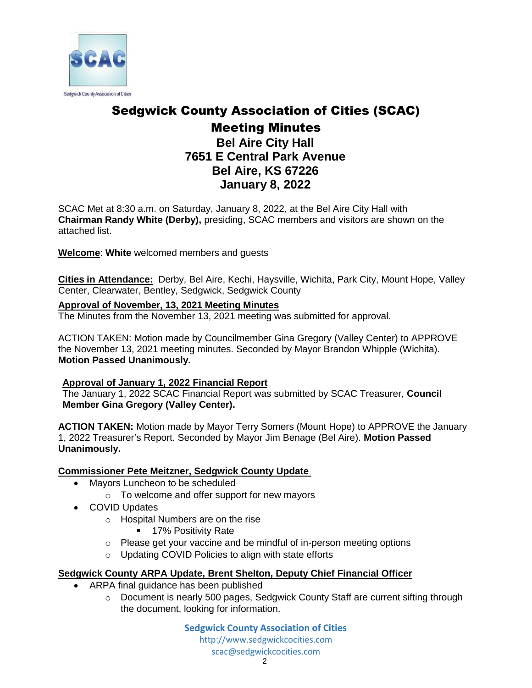

# Sedgwick County Association of Cities (SCAC)

## Meeting Minutes **Bel Aire City Hall 7651 E Central Park Avenue Bel Aire, KS 67226 January 8, 2022**

SCAC Met at 8:30 a.m. on Saturday, January 8, 2022, at the Bel Aire City Hall with **Chairman Randy White (Derby),** presiding, SCAC members and visitors are shown on the attached list.

**Welcome**: **White** welcomed members and guests

**Cities in Attendance:** Derby, Bel Aire, Kechi, Haysville, Wichita, Park City, Mount Hope, Valley Center, Clearwater, Bentley, Sedgwick, Sedgwick County

### **Approval of November, 13, 2021 Meeting Minutes**

The Minutes from the November 13, 2021 meeting was submitted for approval.

ACTION TAKEN: Motion made by Councilmember Gina Gregory (Valley Center) to APPROVE the November 13, 2021 meeting minutes. Seconded by Mayor Brandon Whipple (Wichita). **Motion Passed Unanimously.** 

### **Approval of January 1, 2022 Financial Report**

The January 1, 2022 SCAC Financial Report was submitted by SCAC Treasurer, **Council Member Gina Gregory (Valley Center).**

**ACTION TAKEN:** Motion made by Mayor Terry Somers (Mount Hope) to APPROVE the January 1, 2022 Treasurer's Report. Seconded by Mayor Jim Benage (Bel Aire). **Motion Passed Unanimously.** 

### **Commissioner Pete Meitzner, Sedgwick County Update**

- Mayors Luncheon to be scheduled
	- o To welcome and offer support for new mayors
- COVID Updates
	- o Hospital Numbers are on the rise
		- **17% Positivity Rate**
	- o Please get your vaccine and be mindful of in-person meeting options
	- o Updating COVID Policies to align with state efforts

### **Sedgwick County ARPA Update, Brent Shelton, Deputy Chief Financial Officer**

- ARPA final guidance has been published
	- o Document is nearly 500 pages, Sedgwick County Staff are current sifting through the document, looking for information.

**Sedgwick County Association of Cities** [http://www.sedgwickcocities.com](http://www.sedgwickcocities.com/) [scac@sedgwickcocities.com](mailto:scac@sedgwickcocities.com)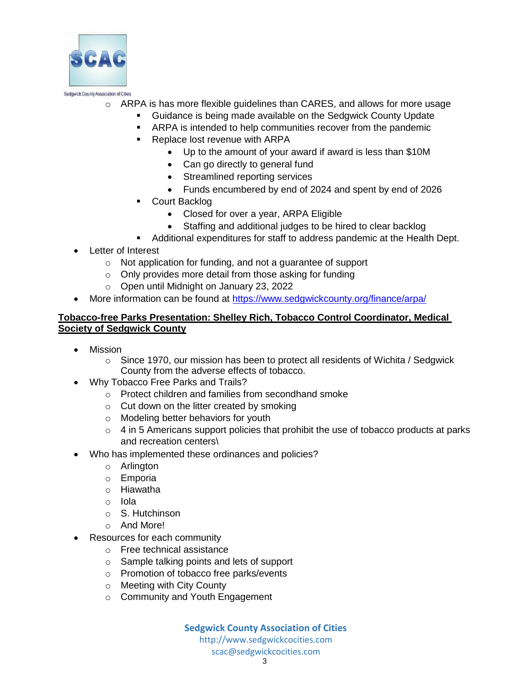

- o ARPA is has more flexible guidelines than CARES, and allows for more usage
	- **Guidance is being made available on the Sedgwick County Update**
	- **ARPA** is intended to help communities recover from the pandemic
	- **Replace lost revenue with ARPA** 
		- Up to the amount of your award if award is less than \$10M
		- Can go directly to general fund
		- Streamlined reporting services
		- Funds encumbered by end of 2024 and spent by end of 2026
	- **Court Backlog** 
		- Closed for over a year, ARPA Eligible
		- Staffing and additional judges to be hired to clear backlog
	- Additional expenditures for staff to address pandemic at the Health Dept.
- Letter of Interest
	- o Not application for funding, and not a guarantee of support
	- o Only provides more detail from those asking for funding
	- o Open until Midnight on January 23, 2022
- More information can be found at<https://www.sedgwickcounty.org/finance/arpa/>

#### **Tobacco-free Parks Presentation: Shelley Rich, Tobacco Control Coordinator, Medical Society of Sedgwick County**

- Mission
	- $\circ$  Since 1970, our mission has been to protect all residents of Wichita / Sedgwick County from the adverse effects of tobacco.
- Why Tobacco Free Parks and Trails?
	- o Protect children and families from secondhand smoke
	- o Cut down on the litter created by smoking
	- o Modeling better behaviors for youth
	- o 4 in 5 Americans support policies that prohibit the use of tobacco products at parks and recreation centers\
- Who has implemented these ordinances and policies?
	- o Arlington
	- o Emporia
	- o Hiawatha
	- o Iola
	- o S. Hutchinson
	- o And More!
- Resources for each community
	- o Free technical assistance
	- o Sample talking points and lets of support
	- o Promotion of tobacco free parks/events
	- o Meeting with City County
	- o Community and Youth Engagement

**Sedgwick County Association of Cities** [http://www.sedgwickcocities.com](http://www.sedgwickcocities.com/)

[scac@sedgwickcocities.com](mailto:scac@sedgwickcocities.com)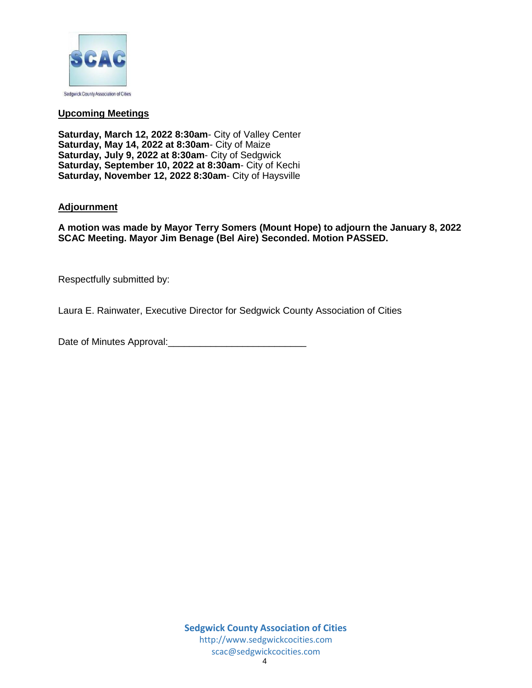

#### **Upcoming Meetings**

**Saturday, March 12, 2022 8:30am**- City of Valley Center **Saturday, May 14, 2022 at 8:30am**- City of Maize **Saturday, July 9, 2022 at 8:30am**- City of Sedgwick **Saturday, September 10, 2022 at 8:30am**- City of Kechi **Saturday, November 12, 2022 8:30am**- City of Haysville

#### **Adjournment**

**A motion was made by Mayor Terry Somers (Mount Hope) to adjourn the January 8, 2022 SCAC Meeting. Mayor Jim Benage (Bel Aire) Seconded. Motion PASSED.** 

Respectfully submitted by:

Laura E. Rainwater, Executive Director for Sedgwick County Association of Cities

Date of Minutes Approval:\_\_\_\_\_\_\_\_\_\_\_\_\_\_\_\_\_\_\_\_\_\_\_\_\_\_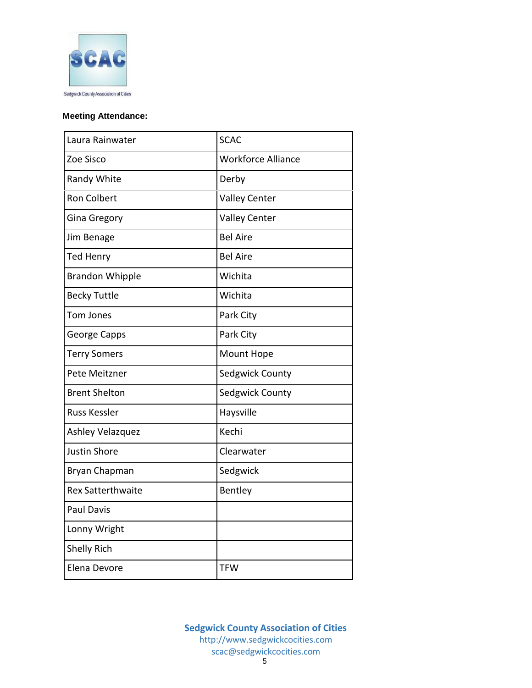

#### **Meeting Attendance:**

| Laura Rainwater          | <b>SCAC</b>               |
|--------------------------|---------------------------|
| Zoe Sisco                | <b>Workforce Alliance</b> |
| Randy White              | Derby                     |
| <b>Ron Colbert</b>       | <b>Valley Center</b>      |
| <b>Gina Gregory</b>      | <b>Valley Center</b>      |
| Jim Benage               | <b>Bel Aire</b>           |
| <b>Ted Henry</b>         | <b>Bel Aire</b>           |
| <b>Brandon Whipple</b>   | Wichita                   |
| <b>Becky Tuttle</b>      | Wichita                   |
| Tom Jones                | Park City                 |
| George Capps             | Park City                 |
| <b>Terry Somers</b>      | Mount Hope                |
| Pete Meitzner            | Sedgwick County           |
| <b>Brent Shelton</b>     | Sedgwick County           |
| <b>Russ Kessler</b>      | Haysville                 |
| Ashley Velazquez         | Kechi                     |
| <b>Justin Shore</b>      | Clearwater                |
| Bryan Chapman            | Sedgwick                  |
| <b>Rex Satterthwaite</b> | Bentley                   |
| <b>Paul Davis</b>        |                           |
| Lonny Wright             |                           |
| <b>Shelly Rich</b>       |                           |
| Elena Devore             | <b>TFW</b>                |